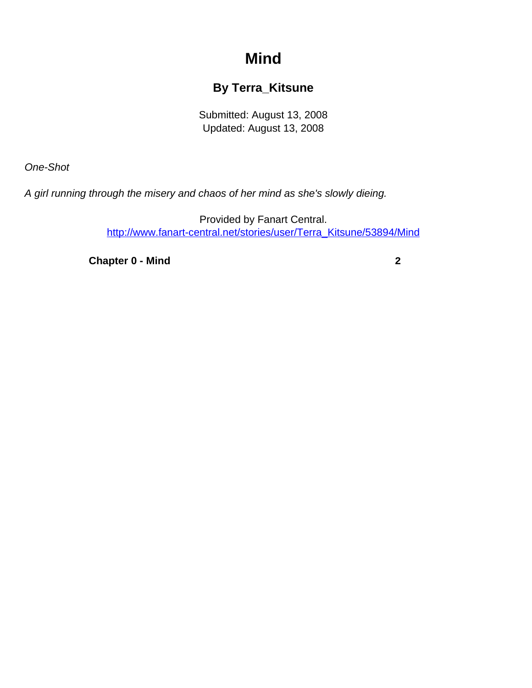## **Mind**

## **By Terra\_Kitsune**

Submitted: August 13, 2008 Updated: August 13, 2008

<span id="page-0-0"></span>One-Shot

A girl running through the misery and chaos of her mind as she's slowly dieing.

Provided by Fanart Central. [http://www.fanart-central.net/stories/user/Terra\\_Kitsune/53894/Mind](#page-0-0)

**[Chapter 0 - Mind](#page-1-0) [2](#page-1-0)**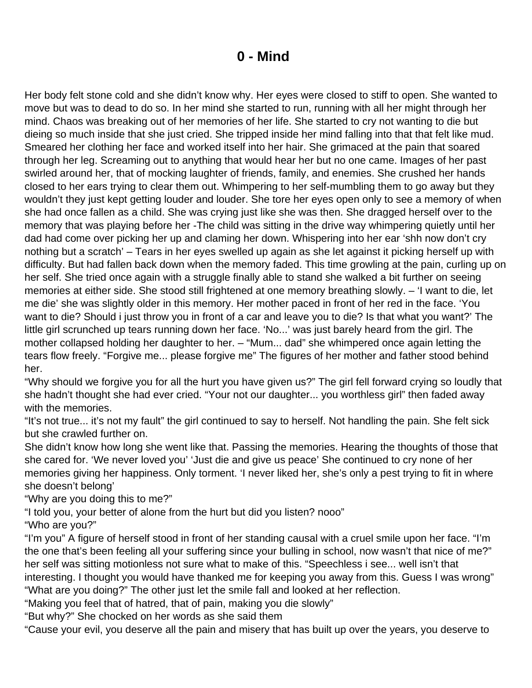## **0 - Mind**

<span id="page-1-0"></span>Her body felt stone cold and she didn't know why. Her eyes were closed to stiff to open. She wanted to move but was to dead to do so. In her mind she started to run, running with all her might through her mind. Chaos was breaking out of her memories of her life. She started to cry not wanting to die but dieing so much inside that she just cried. She tripped inside her mind falling into that that felt like mud. Smeared her clothing her face and worked itself into her hair. She grimaced at the pain that soared through her leg. Screaming out to anything that would hear her but no one came. Images of her past swirled around her, that of mocking laughter of friends, family, and enemies. She crushed her hands closed to her ears trying to clear them out. Whimpering to her self-mumbling them to go away but they wouldn't they just kept getting louder and louder. She tore her eyes open only to see a memory of when she had once fallen as a child. She was crying just like she was then. She dragged herself over to the memory that was playing before her -The child was sitting in the drive way whimpering quietly until her dad had come over picking her up and claming her down. Whispering into her ear 'shh now don't cry nothing but a scratch' – Tears in her eyes swelled up again as she let against it picking herself up with difficulty. But had fallen back down when the memory faded. This time growling at the pain, curling up on her self. She tried once again with a struggle finally able to stand she walked a bit further on seeing memories at either side. She stood still frightened at one memory breathing slowly. – 'I want to die, let me die' she was slightly older in this memory. Her mother paced in front of her red in the face. 'You want to die? Should i just throw you in front of a car and leave you to die? Is that what you want?' The little girl scrunched up tears running down her face. 'No...' was just barely heard from the girl. The mother collapsed holding her daughter to her. – "Mum... dad" she whimpered once again letting the tears flow freely. "Forgive me... please forgive me" The figures of her mother and father stood behind her.

"Why should we forgive you for all the hurt you have given us?" The girl fell forward crying so loudly that she hadn't thought she had ever cried. "Your not our daughter... you worthless girl" then faded away with the memories.

"It's not true... it's not my fault" the girl continued to say to herself. Not handling the pain. She felt sick but she crawled further on.

She didn't know how long she went like that. Passing the memories. Hearing the thoughts of those that she cared for. 'We never loved you' 'Just die and give us peace' She continued to cry none of her memories giving her happiness. Only torment. 'I never liked her, she's only a pest trying to fit in where she doesn't belong'

"Why are you doing this to me?"

"I told you, your better of alone from the hurt but did you listen? nooo"

"Who are you?"

"I'm you" A figure of herself stood in front of her standing causal with a cruel smile upon her face. "I'm the one that's been feeling all your suffering since your bulling in school, now wasn't that nice of me?" her self was sitting motionless not sure what to make of this. "Speechless i see... well isn't that interesting. I thought you would have thanked me for keeping you away from this. Guess I was wrong" "What are you doing?" The other just let the smile fall and looked at her reflection.

"Making you feel that of hatred, that of pain, making you die slowly"

"But why?" She chocked on her words as she said them

"Cause your evil, you deserve all the pain and misery that has built up over the years, you deserve to